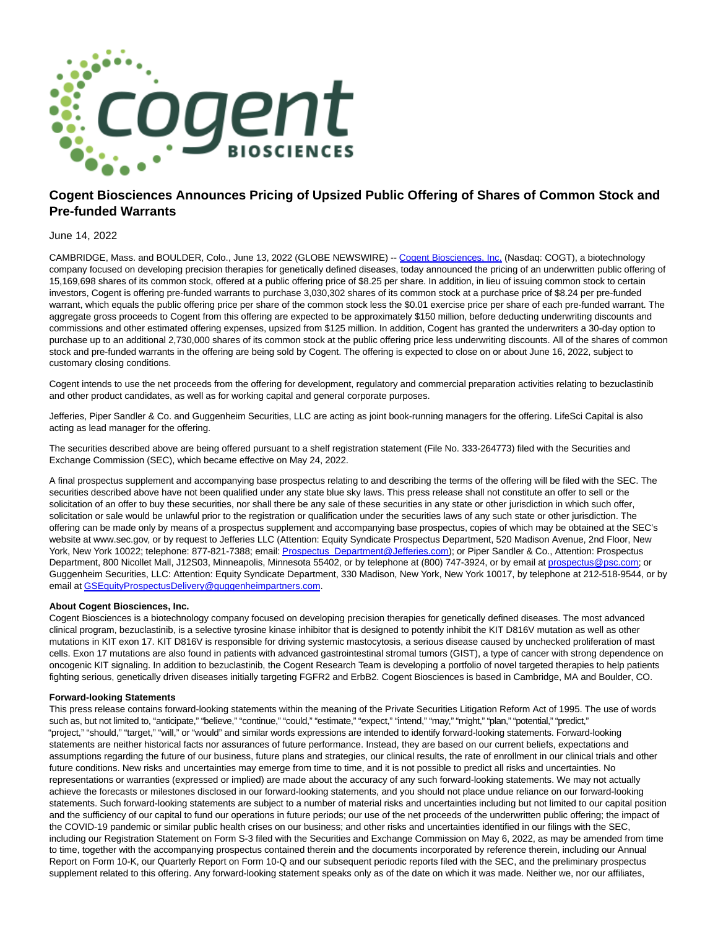

# **Cogent Biosciences Announces Pricing of Upsized Public Offering of Shares of Common Stock and Pre-funded Warrants**

## June 14, 2022

CAMBRIDGE, Mass. and BOULDER, Colo., June 13, 2022 (GLOBE NEWSWIRE) -- [Cogent Biosciences, Inc. \(](https://www.globenewswire.com/Tracker?data=6rCq_SB_5l5TdnFd87zx5Yz09J-3Iq37eOg4DVCvsBAmEhvUjj9fWrHkHe5ps56o3KMg9NINhKkzcayAKMDWVsy3hIdVbkcF2wr4Q0cxLMc=)Nasdaq: COGT), a biotechnology company focused on developing precision therapies for genetically defined diseases, today announced the pricing of an underwritten public offering of 15,169,698 shares of its common stock, offered at a public offering price of \$8.25 per share. In addition, in lieu of issuing common stock to certain investors, Cogent is offering pre-funded warrants to purchase 3,030,302 shares of its common stock at a purchase price of \$8.24 per pre-funded warrant, which equals the public offering price per share of the common stock less the \$0.01 exercise price per share of each pre-funded warrant. The aggregate gross proceeds to Cogent from this offering are expected to be approximately \$150 million, before deducting underwriting discounts and commissions and other estimated offering expenses, upsized from \$125 million. In addition, Cogent has granted the underwriters a 30-day option to purchase up to an additional 2,730,000 shares of its common stock at the public offering price less underwriting discounts. All of the shares of common stock and pre-funded warrants in the offering are being sold by Cogent. The offering is expected to close on or about June 16, 2022, subject to customary closing conditions.

Cogent intends to use the net proceeds from the offering for development, regulatory and commercial preparation activities relating to bezuclastinib and other product candidates, as well as for working capital and general corporate purposes.

Jefferies, Piper Sandler & Co. and Guggenheim Securities, LLC are acting as joint book-running managers for the offering. LifeSci Capital is also acting as lead manager for the offering.

The securities described above are being offered pursuant to a shelf registration statement (File No. 333-264773) filed with the Securities and Exchange Commission (SEC), which became effective on May 24, 2022.

A final prospectus supplement and accompanying base prospectus relating to and describing the terms of the offering will be filed with the SEC. The securities described above have not been qualified under any state blue sky laws. This press release shall not constitute an offer to sell or the solicitation of an offer to buy these securities, nor shall there be any sale of these securities in any state or other jurisdiction in which such offer, solicitation or sale would be unlawful prior to the registration or qualification under the securities laws of any such state or other jurisdiction. The offering can be made only by means of a prospectus supplement and accompanying base prospectus, copies of which may be obtained at the SEC's website at www.sec.gov, or by request to Jefferies LLC (Attention: Equity Syndicate Prospectus Department, 520 Madison Avenue, 2nd Floor, New York, New York 10022; telephone: 877-821-7388; email: [Prospectus\\_Department@Jefferies.com\);](https://www.globenewswire.com/Tracker?data=rOv81lB-m0djQ2I7amwV8HJIez68V--loTzDYy-uiT8faKW_fy1bQaT4BTi2bLHTW_yEljEEmDCMYRP13_J7C094xaWZzwg5GNuWY3-FZw_CtJGTM7Fpdd0Wi_XvPEqOI3SqIpJhWEC900VOc25Shg==) or Piper Sandler & Co., Attention: Prospectus Department, 800 Nicollet Mall, J12S03, Minneapolis, Minnesota 55402, or by telephone at (800) 747-3924, or by email at [prospectus@psc.com;](https://www.globenewswire.com/Tracker?data=XFKjG6xsnSkb7CcVnM1tb1wbHusAzcW0sMFf3cejHhZaIanIVsxZrBEhM-cb-t_W4hllocGCqWW7asAAGS2eaki621n-h0AKxF0Hhyeg0aU=) or Guggenheim Securities, LLC: Attention: Equity Syndicate Department, 330 Madison, New York, New York 10017, by telephone at 212-518-9544, or by email at [GSEquityProspectusDelivery@guggenheimpartners.com.](https://www.globenewswire.com/Tracker?data=Q6Wl3I-ShnYgXaYJ44T4PifqZ1JdkZ_PR1S5HwoX8bZY03wp2usBstkPg3rMJzO58SH4kQ8hhQLuvF2Xq8JN77RicuLa4TM83Sx8apOy4p-0H2zuUK0J0d67qcGevlufNGAj0LM_fU4LDIg8cejaz6TIQ-figm28j7YHTS3IRxQ=)

#### **About Cogent Biosciences, Inc.**

Cogent Biosciences is a biotechnology company focused on developing precision therapies for genetically defined diseases. The most advanced clinical program, bezuclastinib, is a selective tyrosine kinase inhibitor that is designed to potently inhibit the KIT D816V mutation as well as other mutations in KIT exon 17. KIT D816V is responsible for driving systemic mastocytosis, a serious disease caused by unchecked proliferation of mast cells. Exon 17 mutations are also found in patients with advanced gastrointestinal stromal tumors (GIST), a type of cancer with strong dependence on oncogenic KIT signaling. In addition to bezuclastinib, the Cogent Research Team is developing a portfolio of novel targeted therapies to help patients fighting serious, genetically driven diseases initially targeting FGFR2 and ErbB2. Cogent Biosciences is based in Cambridge, MA and Boulder, CO.

### **Forward-looking Statements**

This press release contains forward-looking statements within the meaning of the Private Securities Litigation Reform Act of 1995. The use of words such as, but not limited to, "anticipate," "believe," "continue," "could," "estimate," "expect," "intend," "may," "might," "plan," "potential," "predict," "project," "should," "target," "will," or "would" and similar words expressions are intended to identify forward-looking statements. Forward-looking statements are neither historical facts nor assurances of future performance. Instead, they are based on our current beliefs, expectations and assumptions regarding the future of our business, future plans and strategies, our clinical results, the rate of enrollment in our clinical trials and other future conditions. New risks and uncertainties may emerge from time to time, and it is not possible to predict all risks and uncertainties. No representations or warranties (expressed or implied) are made about the accuracy of any such forward-looking statements. We may not actually achieve the forecasts or milestones disclosed in our forward-looking statements, and you should not place undue reliance on our forward-looking statements. Such forward-looking statements are subject to a number of material risks and uncertainties including but not limited to our capital position and the sufficiency of our capital to fund our operations in future periods; our use of the net proceeds of the underwritten public offering; the impact of the COVID-19 pandemic or similar public health crises on our business; and other risks and uncertainties identified in our filings with the SEC, including our Registration Statement on Form S-3 filed with the Securities and Exchange Commission on May 6, 2022, as may be amended from time to time, together with the accompanying prospectus contained therein and the documents incorporated by reference therein, including our Annual Report on Form 10-K, our Quarterly Report on Form 10-Q and our subsequent periodic reports filed with the SEC, and the preliminary prospectus supplement related to this offering. Any forward-looking statement speaks only as of the date on which it was made. Neither we, nor our affiliates,